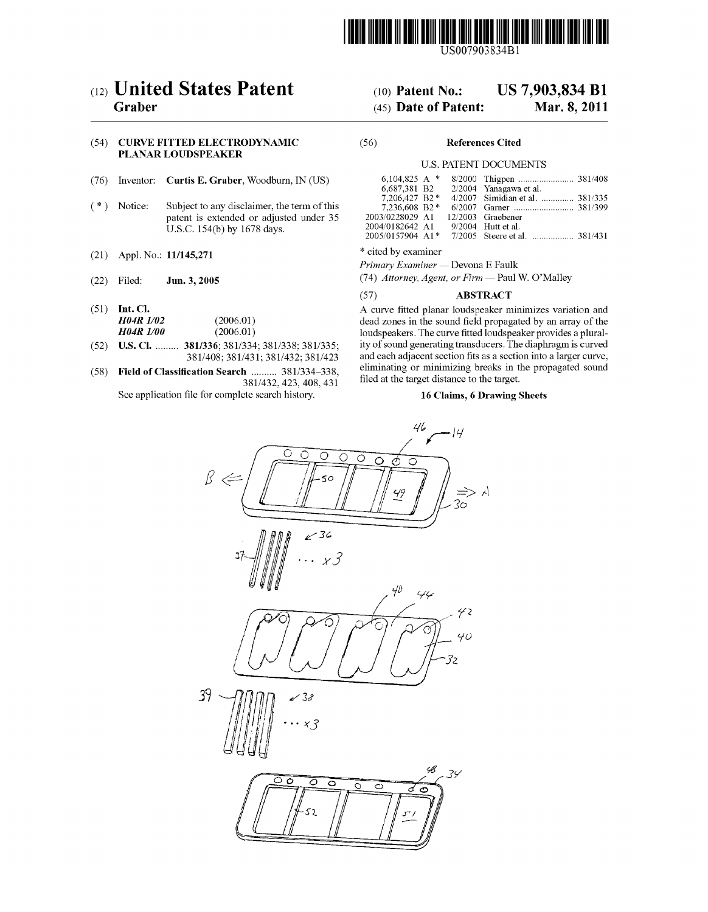

USOO7903834B1

# (12) **United States Patent**<br>Graber

# (54) CURVE FITTED ELECTRODYNAMIC (56) References Cited PLANAR LOUDSPEAKER

- 
- patent is extended or adjusted under 35 U.S.C.  $154(b)$  by  $1678$  days.
- (21) Appl. No.:  $11/145,271$  \* cited by examiner
- 
- 
- (52) U.S. Cl. ......... 381/336; 381/334; 381/338; 381/335;<br>381/408; 381/431; 381/432; 381/423
- $(58)$  Field of Classification Search .......... 381/334-338, 381/432, 423, 408, 431

See application file for complete search history.

# (10) Patent No.: US 7,903,834 B1<br>(45) Date of Patent: Mar. 8, 2011

# $(45)$  Date of Patent:

## U.S. PATENT DOCUMENTS

|             | (76) Inventor: <b>Curtis E. Graber</b> , Woodburn, IN (US)                                                            | 6,687,381 B2 2/2004 Yanagawa et al.                                                                                                 |                                                                  |
|-------------|-----------------------------------------------------------------------------------------------------------------------|-------------------------------------------------------------------------------------------------------------------------------------|------------------------------------------------------------------|
| (*) Notice: | Subject to any disclaimer, the term of this<br>patent is extended or adjusted under 35<br>U.S.C. 154(b) by 1678 days. | 7.206.427 B2 *<br>$7.236.608$ B2 $*$<br>2003/0228029 A1 12/2003 Graebener<br>2004/0182642 A1 9/2004 Hutt et al.<br>2005/0157904 A1* | 4/2007 Simidian et al.  381/335<br>7/2005 Steere et al.  381/431 |

Primary Examiner — Devona E Faulk

(22) Filed: Jun. 3, 2005 (74) Attorney, Agent, or Firm — Paul W. O'Malley

# (57) ABSTRACT

(51) Int. Cl.  $H04R1/02$  (2006.01) A curve fitted planar loudspeaker minimizes variation and dead zones in the sound field propagated by an array of the **H04R 1/02** (2006.01) dead zones in the sound field propagated by an array of the  $H04R$  1/00 (2006.01) dead zones in the sound field propagated by an array of the loudspeakers. The curve fitted loudspeaker provides a plurality of sound generating transducers. The diaphragm is curved and each adjacent section fits as a section into a larger curve, eliminating or minimizing breaks in the propagated sound filed at the target distance to the target.

## 16 Claims, 6 Drawing Sheets

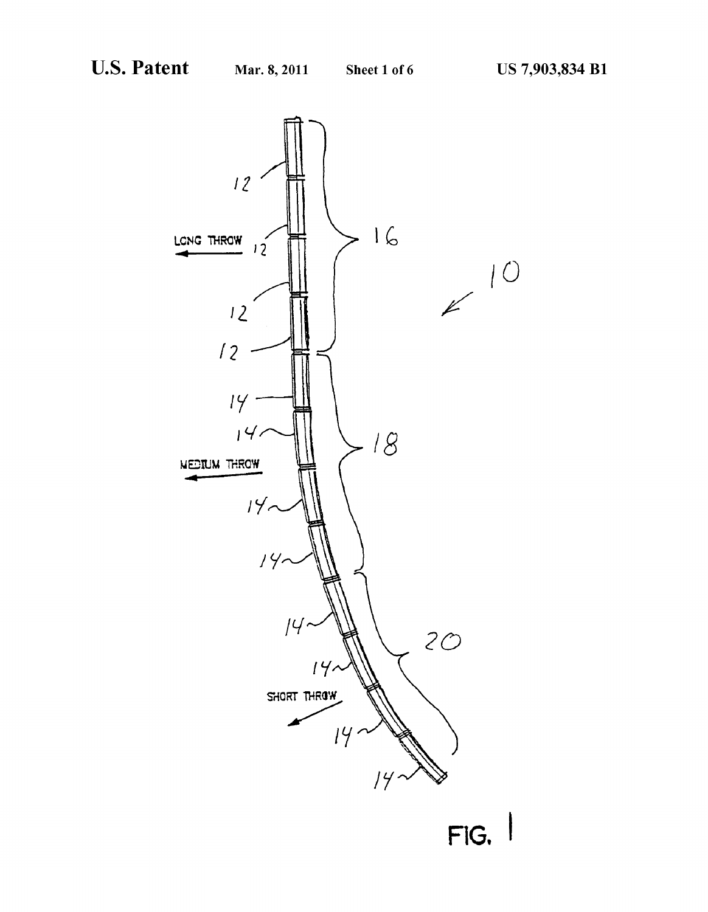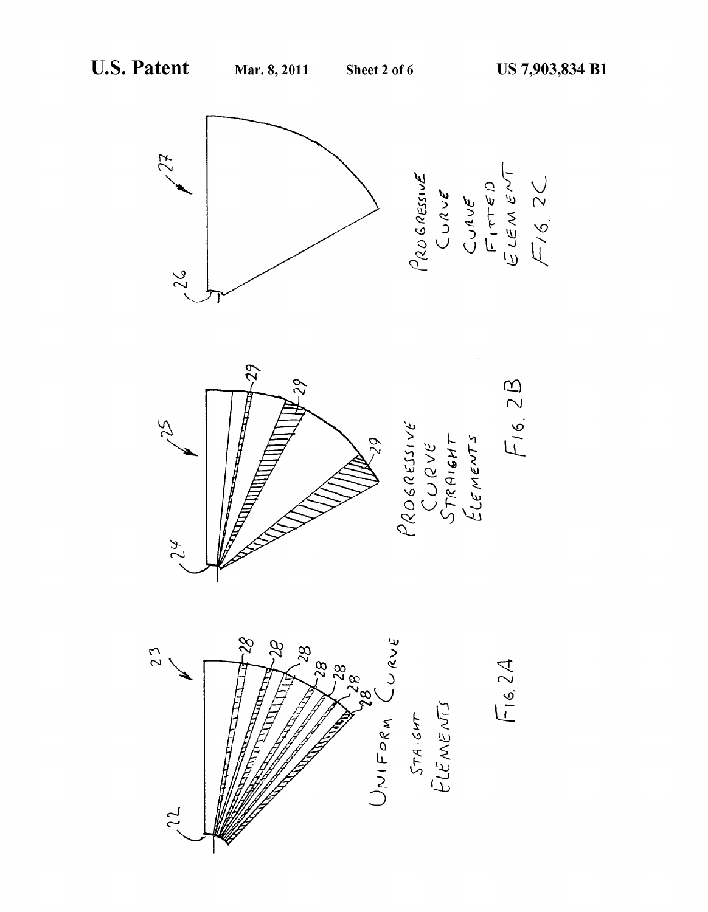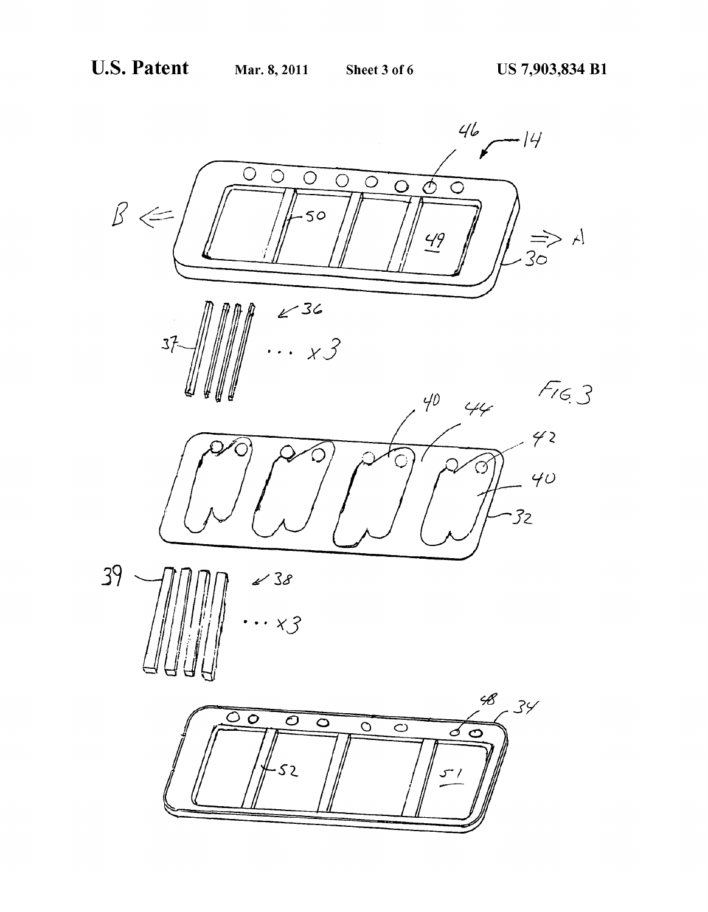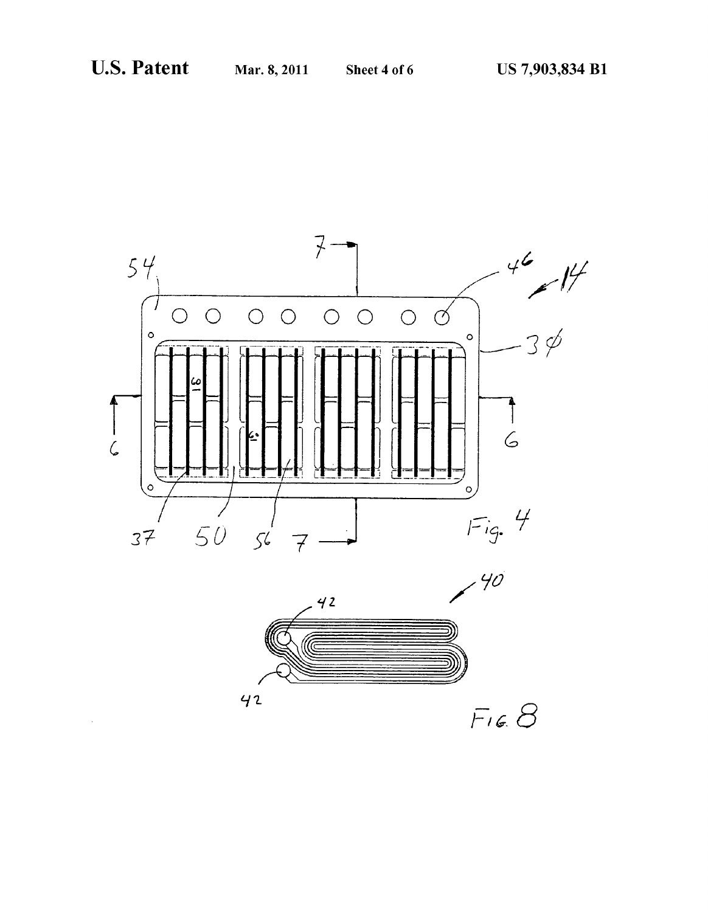$\sim 10^7$ 





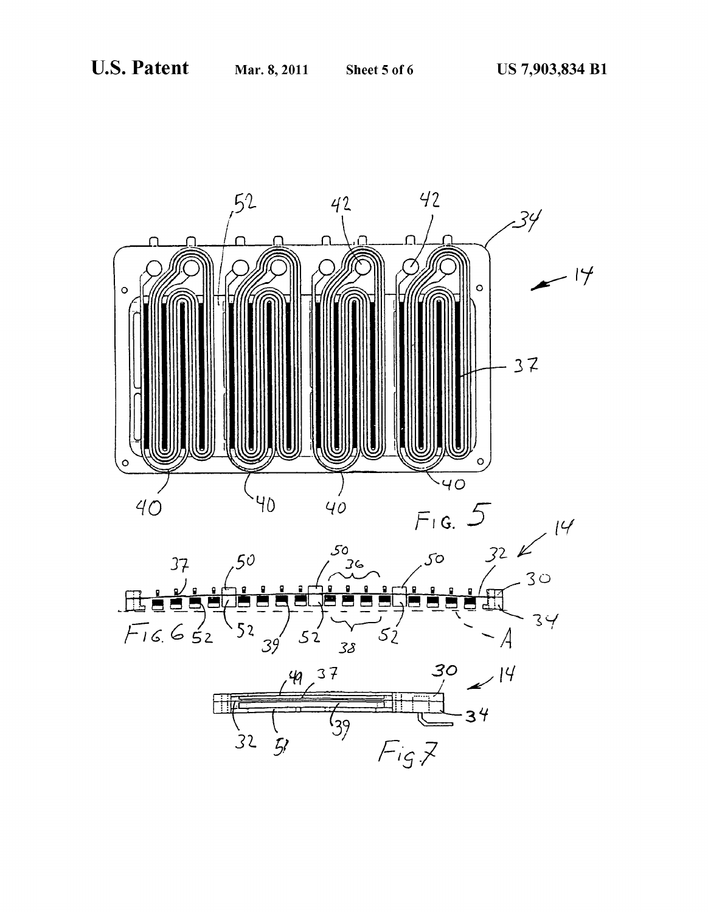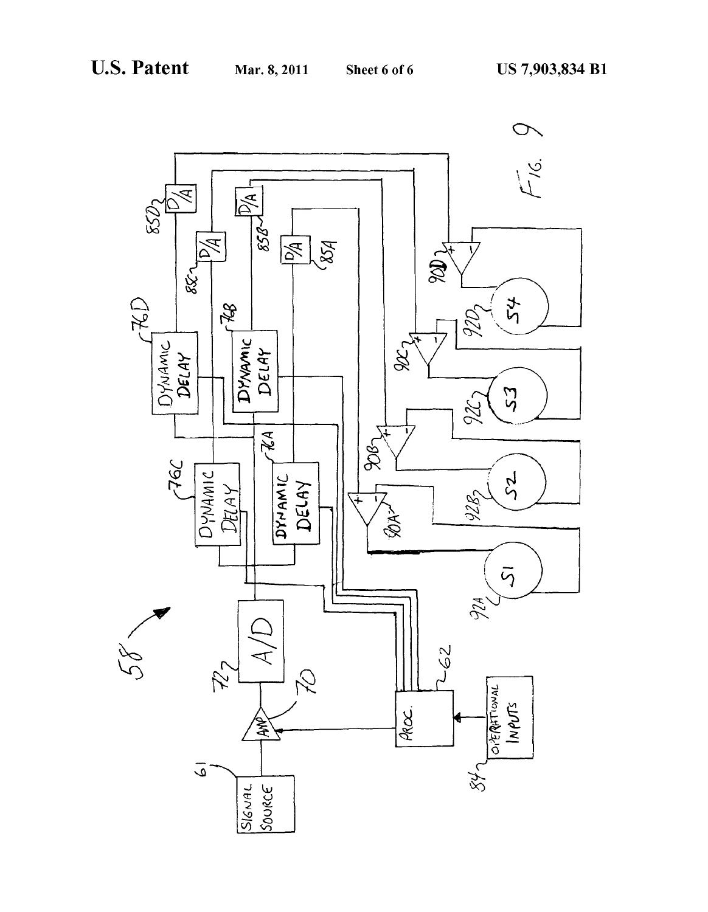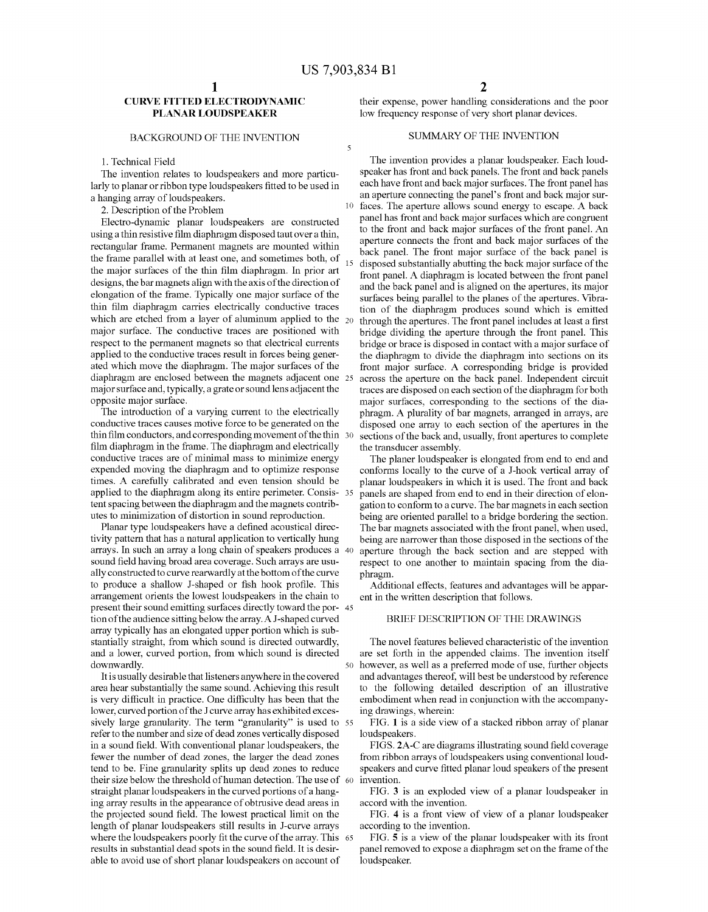10

 $\overline{\mathcal{L}}$ 

# CURVE FITTED ELECTRODYNAMIC PLANAR LOUDSPEAKER

# BACKGROUND OF THE INVENTION

1. Technical Field

The invention relates to loudspeakers and more particu larly to planar or ribbon type loudspeakers fitted to be used in a hanging array of loudspeakers.

2. Description of the Problem

Electro-dynamic planar loudspeakers are constructed using a thin resistive film diaphragm disposed taut over a thin, rectangular frame. Permanent magnets are mounted within the frame parallel with at least one, and sometimes both, of the major surfaces of the thin film diaphragm. In prior art designs, the bar magnets align with the axis of the direction of elongation of the frame. Typically one major surface of the thin film diaphragm carries electrically conductive traces which are etched from a layer of aluminum applied to the  $_{20}$ major surface. The conductive traces are positioned with respect to the permanent magnets so that electrical currents applied to the conductive traces result in forces being gener ated which move the diaphragm. The major surfaces of the diaphragm are enclosed between the magnets adjacent one 25 major Surface and, typically, a grate or sound lens adjacent the opposite major surface.

The introduction of a varying current to the electrically conductive traces causes motive force to be generated on the thin film conductors, and corresponding movement of the thin 30 film diaphragm in the frame. The diaphragm and electrically conductive traces are of minimal mass to minimize energy expended moving the diaphragm and to optimize response times. A carefully calibrated and even tension should be applied to the diaphragm along its entire perimeter. Consis- 35 tent spacing between the diaphragm and the magnets contrib utes to minimization of distortion in Sound reproduction.

Planar type loudspeakers have a defined acoustical direc tivity pattern that has a natural application to vertically hung arrays. In such an array a long chain of speakers produces a 40 sound field having broad area coverage. Such arrays are usually constructed to curve rearwardly at the bottom of the curve to produce a shallow J-shaped or fish hook profile. This arrangement orients the lowest loudspeakers in the chain to present their sound emitting surfaces directly toward the por- 45 tion of the audience sitting below the array. AJ-shaped curved array typically has an elongated upper portion which is Sub stantially straight, from which Sound is directed outwardly, and a lower, curved portion, from which sound is directed downwardly.

It is usually desirable that listeners anywhere in the covered area hear substantially the same sound. Achieving this result is very difficult in practice. One difficulty has been that the lower, curved portion of the J curve array has exhibited excessively large granularity. The term "granularity" is used to 55 refer to the number and size of dead Zones vertically disposed in a sound field. With conventional planar loudspeakers, the fewer the number of dead Zones, the larger the dead Zones tend to be. Fine granularity splits up dead Zones to reduce their size below the threshold of human detection. The use of 60 straight planar loudspeakers in the curved portions of a hang ing array results in the appearance of obtrusive dead areas in the projected sound field. The lowest practical limit on the length of planar loudspeakers still results in J-curve arrays where the loudspeakers poorly fit the curve of the array. This 65 results in substantial dead spots in the sound field. It is desir able to avoid use of short planar loudspeakers on account of

their expense, power handling considerations and the poor low frequency response of very short planar devices.

# SUMMARY OF THE INVENTION

15 The invention provides a planar loudspeaker. Each loud speaker has front and back panels. The front and back panels each have front and back major surfaces. The front panel has an aperture connecting the panel's front and back major surfaces. The aperture allows sound energy to escape. A back panel has front and back major Surfaces which are congruent to the front and back major surfaces of the front panel. An aperture connects the front and back major surfaces of the back panel. The front major surface of the back panel is disposed substantially abutting the back major surface of the front panel. A diaphragm is located between the front panel and the back panel and is aligned on the apertures, its major surfaces being parallel to the planes of the apertures. Vibra tion of the diaphragm produces Sound which is emitted through the apertures. The front panel includes at least a first bridge dividing the aperture through the front panel. This bridge or brace is disposed in contact with a major surface of the diaphragm to divide the diaphragm into sections on its front major surface. A corresponding bridge is provided across the aperture on the back panel. Independent circuit traces are disposed on each section of the diaphragm for both major surfaces, corresponding to the sections of the dia phragm. A plurality of bar magnets, arranged in arrays, are disposed one array to each section of the apertures in the sections of the back and, usually, front apertures to complete the transducer assembly.

The planer loudspeaker is elongated from end to end and conforms locally to the curve of a J-hook vertical array of planar loudspeakers in which it is used. The front and back panels are shaped from end to end in their direction of elon gation to conform to a curve. The bar magnets in each section being are oriented parallel to a bridge bordering the section. The bar magnets associated with the front panel, when used, being are narrower than those disposed in the sections of the aperture through the back section and are stepped with respect to one another to maintain spacing from the dia phragm.

Additional effects, features and advantages will be appar ent in the written description that follows.

## BRIEF DESCRIPTION OF THE DRAWINGS

50 however, as well as a preferred mode of use, further objects The novel features believed characteristic of the invention are set forth in the appended claims. The invention itself and advantages thereof, will best be understood by reference to the following detailed description of an illustrative embodiment when read in conjunction with the accompanying drawings, wherein:

FIG. 1 is a side view of a stacked ribbon array of planar loudspeakers.

FIGS. 2A-C are diagrams illustrating sound field coverage from ribbon arrays of loudspeakers using conventional loud speakers and curve fitted planar loud speakers of the present invention.

FIG. 3 is an exploded view of a planar loudspeaker in accord with the invention.

FIG. 4 is a front view of view of a planar loudspeaker according to the invention.

FIG. 5 is a view of the planar loudspeaker with its front panel removed to expose a diaphragm set on the frame of the loudspeaker.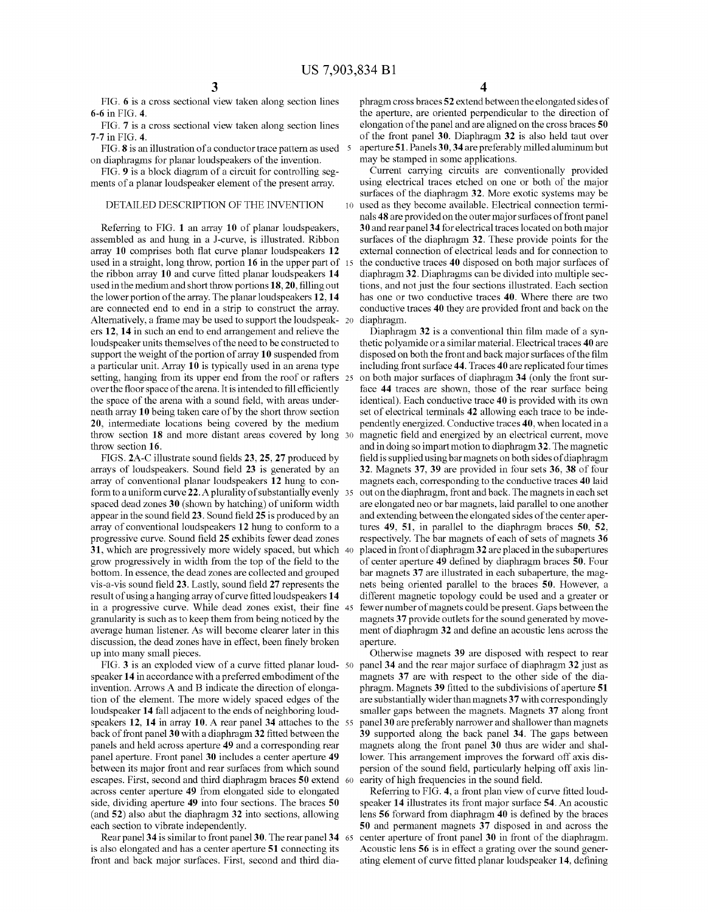FIG. 6 is a cross sectional view taken along section lines 6-6 in FIG. 4.

FIG. 7 is a cross sectional view taken along section lines 7-7 in FIG. 4.

FIG. 8 is an illustration of a conductor trace pattern as used 5 on diaphragms for planar loudspeakers of the invention.

FIG. 9 is a block diagram of a circuit for controlling seg ments of a planar loudspeaker element of the present array.

## DETAILED DESCRIPTION OF THE INVENTION

Referring to FIG. 1 an array 10 of planar loudspeakers, assembled as and hung in a J-curve, is illustrated. Ribbon array 10 comprises both flat curve planar loudspeakers 12 used in a straight, long throw, portion 16 in the upper part of the ribbon array 10 and curve fitted planar loudspeakers 14 used in the medium and short throw portions 18, 20, filling out the lower portion of the array. The planar loudspeakers  $12, 14$  are connected end to end in a strip to construct the array. Alternatively, a frame may be used to support the loudspeak- 20 ers 12, 14 in Such an end to end arrangement and relieve the loudspeaker units themselves of the need to be constructed to support the weight of the portion of array 10 suspended from a particular unit. Array 10 is typically used in an arena type setting, hanging from its upper end from the roof or rafters 25 over the floor space of the arena. It is intended to fill efficiently the space of the arena with a sound field, with areas under neath array 10 being taken care of by the short throw section 20, intermediate locations being covered by the medium throw section 18 and more distant areas covered by long 30 throw section 16. 15

FIGS. 2A-C illustrate sound fields 23, 25, 27 produced by arrays of loudspeakers. Sound field 23 is generated by an array of conventional planar loudspeakers 12 hung to con form to a uniform curve 22. A plurality of substantially evenly 35 spaced dead Zones 30 (shown by hatching) of uniform width appear in the sound field 23. Sound field 25 is produced by an array of conventional loudspeakers 12 hung to conform to a progressive curve. Sound field 25 exhibits fewer dead Zones 31, which are progressively more widely spaced, but which 40 grow progressively in width from the top of the field to the bottom. In essence, the dead zones are collected and grouped vis-a-vis sound field 23. Lastly, sound field 27 represents the result of using a hanging array of curve fitted loudspeakers 14 in a progressive curve. While dead zones exist, their fine 45 granularity is such as to keep them from being noticed by the average human listener. As will become clearer later in this discussion, the dead Zones have in effect, been finely broken up into many Small pieces.

FIG.  $3$  is an exploded view of a curve fitted planar loud-  $50$ speaker 14 in accordance with a preferred embodiment of the invention. Arrows A and B indicate the direction of elongation of the element. The more widely spaced edges of the loudspeaker 14 fall adjacent to the ends of neighboring loud speakers 12, 14 in array 10. A rear panel 34 attaches to the 55 back of front panel 30 with a diaphragm32 fitted between the panels and held across aperture 49 and a corresponding rear panel aperture. Front panel 30 includes a center aperture 49 between its major front and rear surfaces from which sound escapes. First, second and third diaphragm braces 50 extend 60 across center aperture 49 from elongated side to elongated side, dividing aperture 49 into four sections. The braces 50 (and 52) also abut the diaphragm 32 into sections, allowing each section to vibrate independently.

Rear panel 34 is similar to front panel 30. The rear panel 34 65 is also elongated and has a center aperture 51 connecting its front and back major surfaces. First, second and third dia-

phragm cross braces 52 extend between the elongated sides of the aperture, are oriented perpendicular to the direction of elongation of the panel and are aligned on the cross braces 50 of the front panel 30. Diaphragm 32 is also held taut over aperture51. Panels 30,34 are preferably milled aluminum but may be stamped in some applications.

10 used as they become available. Electrical connection termi Current carrying circuits are conventionally provided using electrical traces etched on one or both of the major surfaces of the diaphragm 32. More exotic systems may be nals 48 are provided on the outer major surfaces of front panel 30 and rear panel 34 for electrical traces located on both major surfaces of the diaphragm 32. These provide points for the external connection of electrical leads and for connection to the conductive traces 40 disposed on both major surfaces of diaphragm32. Diaphragms can be divided into multiple sec tions, and not just the four sections illustrated. Each section has one or two conductive traces 40. Where there are two conductive traces 40 they are provided front and back on the diaphragm.

Diaphragm 32 is a conventional thin film made of a syn thetic polyamide or a similar material. Electrical traces 40 are disposed on both the front and back major surfaces of the film including front surface 44. Traces 40 are replicated four times on both major surfaces of diaphragm 34 (only the front surface 44 traces are shown, those of the rear surface being identical). Each conductive trace 40 is provided with its own set of electrical terminals 42 allowing each trace to be inde pendently energized. Conductive traces 40, when located in a magnetic field and energized by an electrical current, move and in doing so impart motion to diaphragm32. The magnetic field is supplied using bar magnets on both sides of diaphragm 32. Magnets 37, 39 are provided in four sets 36, 38 of four magnets each, corresponding to the conductive traces 40 laid out on the diaphragm, front and back. The magnets in each set are elongated neo or bar magnets, laid parallel to one another and extending between the elongated sides of the center apertures 49, 51, in parallel to the diaphragm braces 50, 52. respectively. The bar magnets of each of sets of magnets 36 placed in front of diaphragm 32 are placed in the subapertures of center aperture 49 defined by diaphragm braces 50. Four bar magnets 37 are illustrated in each subaperture, the magnets being oriented parallel to the braces 50. However, a different magnetic topology could be used and a greater or fewer number of magnets could be present. Gaps between the magnets 37 provide outlets for the sound generated by move ment of diaphragm 32 and define an acoustic lens across the aperture.

Otherwise magnets 39 are disposed with respect to rear panel 34 and the rear major Surface of diaphragm 32 just as magnets 37 are with respect to the other side of the dia phragm. Magnets 39 fitted to the subdivisions of aperture 51 are substantially wider than magnets 37 with correspondingly smaller gaps between the magnets. Magnets 37 along front panel 30 are preferably narrower and shallower than magnets 39 supported along the back panel 34. The gaps between magnets along the front panel 30 thus are wider and shal lower. This arrangement improves the forward off axis dis persion of the Sound field, particularly helping off axis lin earity of high frequencies in the sound field.

Referring to FIG. 4, a front plan view of curve fitted loud speaker 14 illustrates its front major surface 54. An acoustic lens 56 forward from diaphragm 40 is defined by the braces 50 and permanent magnets 37 disposed in and across the center aperture of front panel 30 in front of the diaphragm.<br>Acoustic lens 56 is in effect a grating over the sound generating element of curve fitted planar loudspeaker 14, defining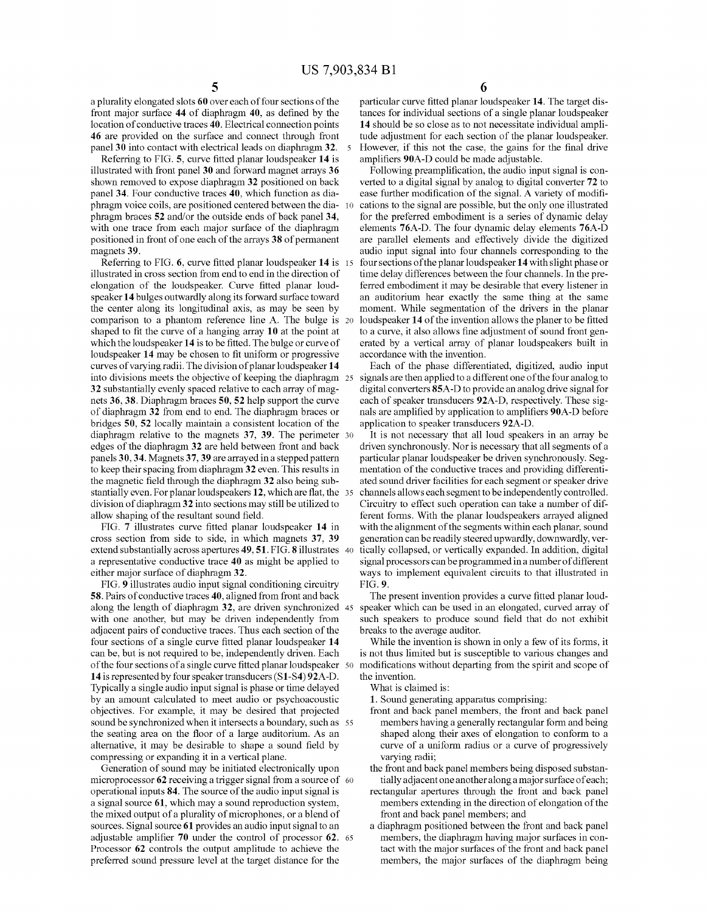10

a plurality elongated slots 60 over each of four sections of the front major surface 44 of diaphragm 40, as defined by the location of conductive traces 40. Electrical connection points 46 are provided on the Surface and connect through front panel 30 into contact with electrical leads on diaphragm 32.

Referring to FIG. 5, curve fitted planar loudspeaker 14 is illustrated with front panel 30 and forward magnet arrays 36 shown removed to expose diaphragm 32 positioned on back panel 34. Four conductive traces 40, which function as dia phragm Voice coils, are positioned centered between the dia phragm braces 52 and/or the outside ends of back panel 34, with one trace from each major surface of the diaphragm positioned in front of one each of the arrays 38 of permanent magnets 39.

Referring to FIG. 6, curve fitted planar loudspeaker 14 is 15 illustrated in cross section from end to end in the direction of elongation of the loudspeaker. Curve fitted planar loud speaker 14 bulges outwardly along its forward surface toward the center along its longitudinal axis, as may be seen by comparison to a phantom reference line A. The bulge is shaped to fit the curve of a hanging array 10 at the point at which the loudspeaker 14 is to be fitted. The bulge or curve of loudspeaker 14 may be chosen to fit uniform or progressive curves of varying radii. The division of planar loudspeaker 14 32 substantially evenly spaced relative to each array of magnets 36, 38. Diaphragm braces 50, 52 help support the curve of diaphragm 32 from end to end. The diaphragm braces or bridges 50, 52 locally maintain a consistent location of the diaphragm relative to the magnets 37, 39. The perimeter 30 edges of the diaphragm 32 are held between front and back panels 30,34. Magnets 37.39 arearrayed in a stepped pattern to keep their spacing from diaphragm 32 even. This results in the magnetic field through the diaphragm 32 also being substantially even. For planar loudspeakers 12, which are flat, the 35 division of diaphragm32 into sections may still be utilized to allow shaping of the resultant sound field. into divisions meets the objective of keeping the diaphragm 25

FIG. 7 illustrates curve fitted planar loudspeaker 14 in cross section from side to side, in which magnets 37, 39 extend substantially across apertures **49, 51**. FIG. **8** illustrates -40 **c** a representative conductive trace 40 as might be applied to either major surface of diaphragm 32.

FIG. 9 illustrates audio input signal conditioning circuitry 58. Pairs of conductive traces 40, aligned from front and back along the length of diaphragm 32, are driven synchronized 45 with one another, but may be driven independently from adjacent pairs of conductive traces. Thus each section of the four sections of a single curve fitted planar loudspeaker 14 can be, but is not required to be, independently driven. Each of the four sections of a single curve fitted planar loudspeaker 50 14 is represented by four speaker transducers (S1-S4) 92A-D. Typically a single audio input signal is phase or time delayed by an amount calculated to meet audio or psychoacoustic objectives. For example, it may be desired that projected Sound be synchronized when it intersects a boundary, such as 55 the seating area on the floor of a large auditorium. As an alternative, it may be desirable to shape a sound field by

compressing or expanding it in a vertical plane.<br>Generation of sound may be initiated electronically upon Generation of sound may be initiated electronically upon microprocessor **62** receiving a trigger signal from a source of 60 operational inputs 84. The source of the audio input signal is a signal source 61, which may a sound reproduction system, the mixed output of a plurality of microphones, or a blend of sources. Signal source 61 provides an audio input signal to an adjustable amplifier 70 under the control of processor 62. Processor 62 controls the output amplitude to achieve the preferred sound pressure level at the target distance for the 65

particular curve fitted planar loudspeaker 14. The target dis tances for individual sections of a single planar loudspeaker 14 should be so close as to not necessitate individual ampli tude adjustment for each section of the planar loudspeaker. However, if this not the case, the gains for the final drive amplifiers 90A-D could be made adjustable.

Following preamplification, the audio input signal is converted to a digital signal by analog to digital converter 72 to ease further modification of the signal. A variety of modifi cations to the signal are possible, but the only one illustrated for the preferred embodiment is a series of dynamic delay elements 76A-D. The four dynamic delay elements 76A-D audio input signal into four channels corresponding to the four sections of the planar loudspeaker 14 with slight phase or time delay differences between the four channels. In the pre ferred embodiment it may be desirable that every listener in an auditorium hear exactly the same thing at the same moment. While segmentation of the drivers in the planar loudspeaker 14 of the invention allows the planer to be fitted to a curve, it also allows fine adjustment of sound front generated by a vertical array of planar loudspeakers built in accordance with the invention.

Each of the phase differentiated, digitized, audio input signals are then applied to a different one of the four analog to digital converters 85A-D to provide an analog drive signal for each of speaker transducers 92A-D, respectively. These signals are amplified by application to amplifiers 90A-D before application to speaker transducers 92A-D.

It is not necessary that all loud speakers in an array be driven synchronously. Nor is necessary that all segments of a particular planar loudspeaker be driven synchronously. Seg mentation of the conductive traces and providing differenti ated sound driver facilities for each segment or speaker drive channels allows each segment to be independently controlled. Circuitry to effect such operation can take a number of dif ferent forms. With the planar loudspeakers arrayed aligned with the alignment of the segments within each planar, sound generation can be readily steered upwardly, downwardly, Ver tically collapsed, or vertically expanded. In addition, digital signal processors can be programmed in a number of different ways to implement equivalent circuits to that illustrated in FIG. 9.

The present invention provides a curve fitted planar loud speaker which can be used in an elongated, curved array of such speakers to produce sound field that do not exhibit breaks to the average auditor.

While the invention is shown in only a few of its forms, it is not thus limited but is susceptible to various changes and modifications without departing from the spirit and scope of the invention.

What is claimed is:

- 1. Sound generating apparatus comprising: members having a generally rectangular form and being shaped along their axes of elongation to conform to a curve of a uniform radius or a curve of progressively varying radii;
- the front and back panel members being disposed substan tially adjacent one another along a major surface of each;
- rectangular apertures through the front and back panel members extending in the direction of elongation of the front and back panel members; and
- a diaphragm positioned between the front and back panel members, the diaphragm having major surfaces in contact with the major surfaces of the front and back panel members, the major surfaces of the diaphragm being